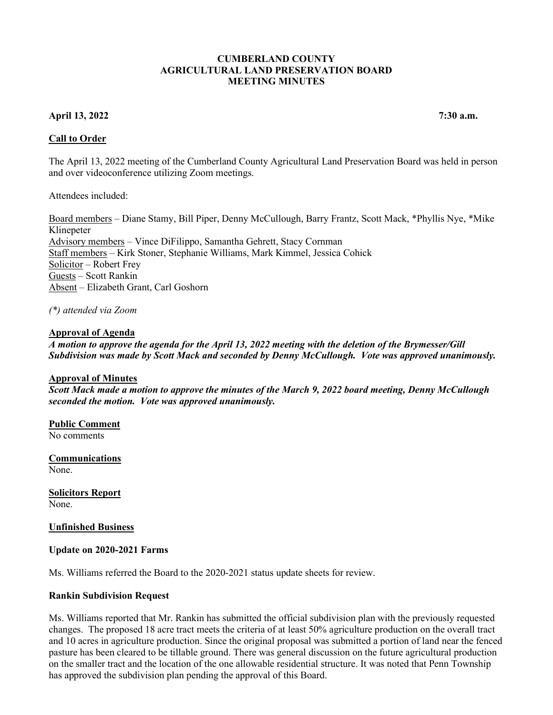### **CUMBERLAND COUNTY AGRICULTURAL LAND PRESERVATION BOARD MEETING MINUTES**

# **April 13, 2022 7:30 a.m.**

**Call to Order** 

The April 13, 2022 meeting of the Cumberland County Agricultural Land Preservation Board was held in person and over videoconference utilizing Zoom meetings.

Attendees included:

Board members – Diane Stamy, Bill Piper, Denny McCullough, Barry Frantz, Scott Mack, \*Phyllis Nye, \*Mike Klinepeter Advisory members – Vince DiFilippo, Samantha Gehrett, Stacy Cornman Staff members – Kirk Stoner, Stephanie Williams, Mark Kimmel, Jessica Cohick Solicitor – Robert Frey Guests – Scott Rankin Absent – Elizabeth Grant, Carl Goshorn

*(\*) attended via Zoom*

## **Approval of Agenda**

*A motion to approve the agenda for the April 13, 2022 meeting with the deletion of the Brymesser/Gill Subdivision was made by Scott Mack and seconded by Denny McCullough. Vote was approved unanimously.*

#### **Approval of Minutes**

*Scott Mack made a motion to approve the minutes of the March 9, 2022 board meeting, Denny McCullough seconded the motion. Vote was approved unanimously.*

**Public Comment**  No comments

**Communications**  None.

**Solicitors Report** None.

**Unfinished Business**

#### **Update on 2020-2021 Farms**

Ms. Williams referred the Board to the 2020-2021 status update sheets for review.

## **Rankin Subdivision Request**

Ms. Williams reported that Mr. Rankin has submitted the official subdivision plan with the previously requested changes. The proposed 18 acre tract meets the criteria of at least 50% agriculture production on the overall tract and 10 acres in agriculture production. Since the original proposal was submitted a portion of land near the fenced pasture has been cleared to be tillable ground. There was general discussion on the future agricultural production on the smaller tract and the location of the one allowable residential structure. It was noted that Penn Township has approved the subdivision plan pending the approval of this Board.